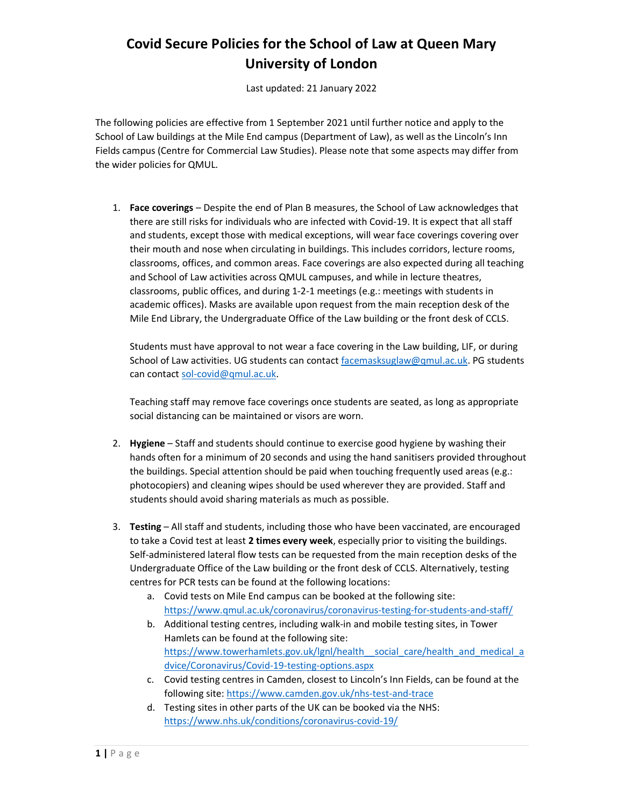## Covid Secure Policies for the School of Law at Queen Mary University of London

Last updated: 21 January 2022

The following policies are effective from 1 September 2021 until further notice and apply to the School of Law buildings at the Mile End campus (Department of Law), as well as the Lincoln's Inn Fields campus (Centre for Commercial Law Studies). Please note that some aspects may differ from the wider policies for QMUL.

1. Face coverings – Despite the end of Plan B measures, the School of Law acknowledges that there are still risks for individuals who are infected with Covid-19. It is expect that all staff and students, except those with medical exceptions, will wear face coverings covering over their mouth and nose when circulating in buildings. This includes corridors, lecture rooms, classrooms, offices, and common areas. Face coverings are also expected during all teaching and School of Law activities across QMUL campuses, and while in lecture theatres, classrooms, public offices, and during 1-2-1 meetings (e.g.: meetings with students in academic offices). Masks are available upon request from the main reception desk of the Mile End Library, the Undergraduate Office of the Law building or the front desk of CCLS.

Students must have approval to not wear a face covering in the Law building, LIF, or during School of Law activities. UG students can contact facemasksuglaw@qmul.ac.uk. PG students can contact sol-covid@qmul.ac.uk.

Teaching staff may remove face coverings once students are seated, as long as appropriate social distancing can be maintained or visors are worn.

- 2. Hygiene Staff and students should continue to exercise good hygiene by washing their hands often for a minimum of 20 seconds and using the hand sanitisers provided throughout the buildings. Special attention should be paid when touching frequently used areas (e.g.: photocopiers) and cleaning wipes should be used wherever they are provided. Staff and students should avoid sharing materials as much as possible.
- 3. Testing All staff and students, including those who have been vaccinated, are encouraged to take a Covid test at least 2 times every week, especially prior to visiting the buildings. Self-administered lateral flow tests can be requested from the main reception desks of the Undergraduate Office of the Law building or the front desk of CCLS. Alternatively, testing centres for PCR tests can be found at the following locations:
	- a. Covid tests on Mile End campus can be booked at the following site: https://www.qmul.ac.uk/coronavirus/coronavirus-testing-for-students-and-staff/
	- b. Additional testing centres, including walk-in and mobile testing sites, in Tower Hamlets can be found at the following site: https://www.towerhamlets.gov.uk/lgnl/health\_social\_care/health\_and\_medical\_a dvice/Coronavirus/Covid-19-testing-options.aspx
	- c. Covid testing centres in Camden, closest to Lincoln's Inn Fields, can be found at the following site: https://www.camden.gov.uk/nhs-test-and-trace
	- d. Testing sites in other parts of the UK can be booked via the NHS: https://www.nhs.uk/conditions/coronavirus-covid-19/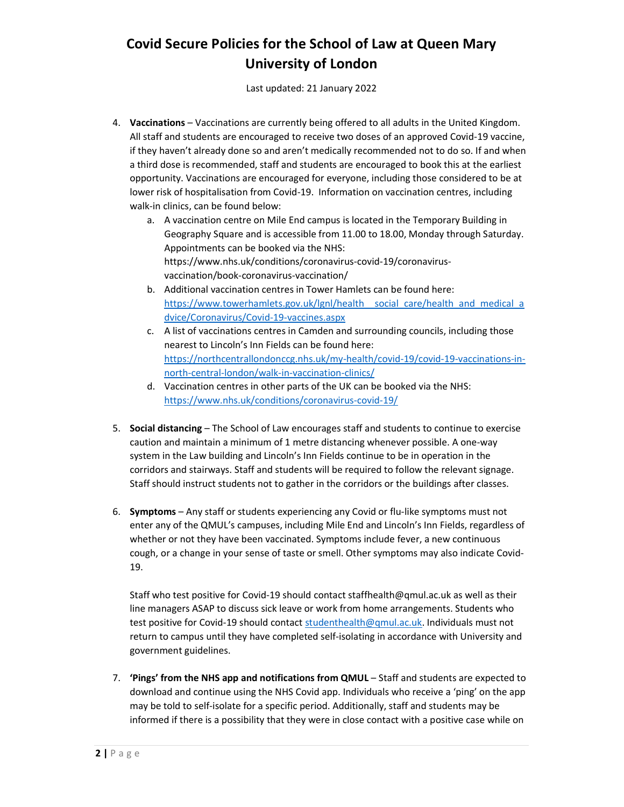## Covid Secure Policies for the School of Law at Queen Mary University of London

Last updated: 21 January 2022

- 4. Vaccinations Vaccinations are currently being offered to all adults in the United Kingdom. All staff and students are encouraged to receive two doses of an approved Covid-19 vaccine, if they haven't already done so and aren't medically recommended not to do so. If and when a third dose is recommended, staff and students are encouraged to book this at the earliest opportunity. Vaccinations are encouraged for everyone, including those considered to be at lower risk of hospitalisation from Covid-19. Information on vaccination centres, including walk-in clinics, can be found below:
	- a. A vaccination centre on Mile End campus is located in the Temporary Building in Geography Square and is accessible from 11.00 to 18.00, Monday through Saturday. Appointments can be booked via the NHS: https://www.nhs.uk/conditions/coronavirus-covid-19/coronavirusvaccination/book-coronavirus-vaccination/
	- b. Additional vaccination centres in Tower Hamlets can be found here: https://www.towerhamlets.gov.uk/lgnl/health social care/health and medical a dvice/Coronavirus/Covid-19-vaccines.aspx
	- c. A list of vaccinations centres in Camden and surrounding councils, including those nearest to Lincoln's Inn Fields can be found here: https://northcentrallondonccg.nhs.uk/my-health/covid-19/covid-19-vaccinations-innorth-central-london/walk-in-vaccination-clinics/
	- d. Vaccination centres in other parts of the UK can be booked via the NHS: https://www.nhs.uk/conditions/coronavirus-covid-19/
- 5. Social distancing The School of Law encourages staff and students to continue to exercise caution and maintain a minimum of 1 metre distancing whenever possible. A one-way system in the Law building and Lincoln's Inn Fields continue to be in operation in the corridors and stairways. Staff and students will be required to follow the relevant signage. Staff should instruct students not to gather in the corridors or the buildings after classes.
- 6. Symptoms Any staff or students experiencing any Covid or flu-like symptoms must not enter any of the QMUL's campuses, including Mile End and Lincoln's Inn Fields, regardless of whether or not they have been vaccinated. Symptoms include fever, a new continuous cough, or a change in your sense of taste or smell. Other symptoms may also indicate Covid-19.

Staff who test positive for Covid-19 should contact staffhealth@qmul.ac.uk as well as their line managers ASAP to discuss sick leave or work from home arrangements. Students who test positive for Covid-19 should contact studenthealth@qmul.ac.uk. Individuals must not return to campus until they have completed self-isolating in accordance with University and government guidelines.

7. 'Pings' from the NHS app and notifications from QMUL – Staff and students are expected to download and continue using the NHS Covid app. Individuals who receive a 'ping' on the app may be told to self-isolate for a specific period. Additionally, staff and students may be informed if there is a possibility that they were in close contact with a positive case while on